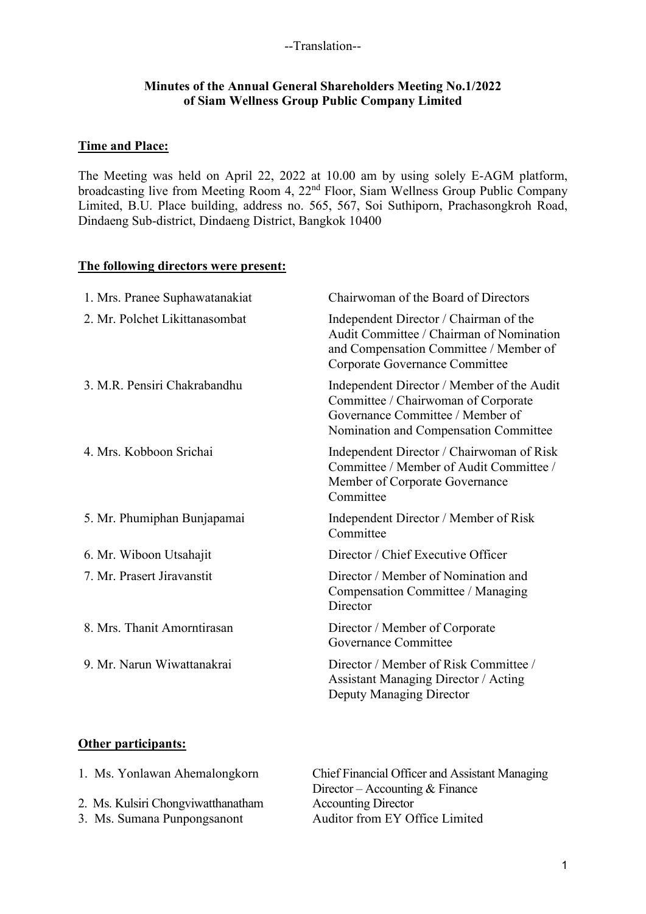### **Minutes of the Annual General Shareholders Meeting No.1/2022 of Siam Wellness Group Public Company Limited**

## **Time and Place:**

The Meeting was held on April 22, 2022 at 10.00 am by using solely E-AGM platform, broadcasting live from Meeting Room 4, 22nd Floor, Siam Wellness Group Public Company Limited, B.U. Place building, address no. 565, 567, Soi Suthiporn, Prachasongkroh Road, Dindaeng Sub-district, Dindaeng District, Bangkok 10400

### **The following directors were present:**

| 1. Mrs. Pranee Suphawatanakiat | Chairwoman of the Board of Directors                                                                                                                           |
|--------------------------------|----------------------------------------------------------------------------------------------------------------------------------------------------------------|
| 2. Mr. Polchet Likittanasombat | Independent Director / Chairman of the<br>Audit Committee / Chairman of Nomination<br>and Compensation Committee / Member of<br>Corporate Governance Committee |
| 3. M.R. Pensiri Chakrabandhu   | Independent Director / Member of the Audit<br>Committee / Chairwoman of Corporate<br>Governance Committee / Member of<br>Nomination and Compensation Committee |
| 4. Mrs. Kobboon Srichai        | Independent Director / Chairwoman of Risk<br>Committee / Member of Audit Committee /<br>Member of Corporate Governance<br>Committee                            |
| 5. Mr. Phumiphan Bunjapamai    | Independent Director / Member of Risk<br>Committee                                                                                                             |
| 6. Mr. Wiboon Utsahajit        | Director / Chief Executive Officer                                                                                                                             |
| 7. Mr. Prasert Jiravanstit     | Director / Member of Nomination and<br>Compensation Committee / Managing<br>Director                                                                           |
| 8. Mrs. Thanit Amorntirasan    | Director / Member of Corporate<br>Governance Committee                                                                                                         |
| 9. Mr. Narun Wiwattanakrai     | Director / Member of Risk Committee /<br><b>Assistant Managing Director / Acting</b><br>Deputy Managing Director                                               |

## **Other participants:**

| 1. Ms. Yonlawan Ahemalongkorn      | Chief Financial Officer and Assistant Managing |
|------------------------------------|------------------------------------------------|
|                                    | Director – Accounting $& \text{Finance}$       |
| 2. Ms. Kulsiri Chongviwatthanatham | <b>Accounting Director</b>                     |
| 3. Ms. Sumana Punpongsanont        | Auditor from EY Office Limited                 |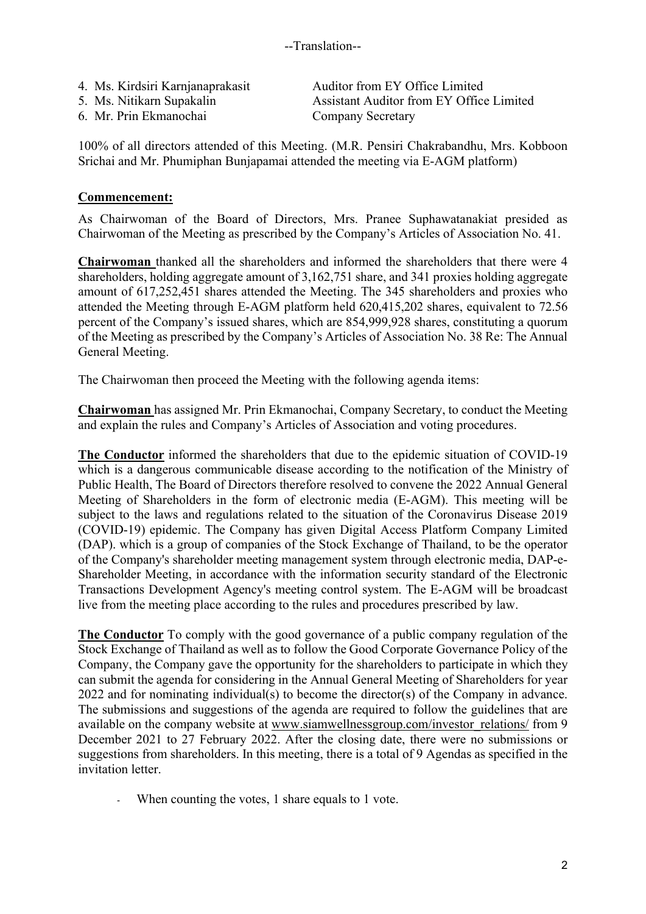| 4. Ms. Kirdsiri Karnjanaprakasit | Auditor from EY Office Limited           |
|----------------------------------|------------------------------------------|
| 5. Ms. Nitikarn Supakalin        | Assistant Auditor from EY Office Limited |
| 6. Mr. Prin Ekmanochai           | <b>Company Secretary</b>                 |

100% of all directors attended of this Meeting. (M.R. Pensiri Chakrabandhu, Mrs. Kobboon Srichai and Mr. Phumiphan Bunjapamai attended the meeting via E-AGM platform)

### **Commencement:**

As Chairwoman of the Board of Directors, Mrs. Pranee Suphawatanakiat presided as Chairwoman of the Meeting as prescribed by the Company's Articles of Association No. 41.

**Chairwoman** thanked all the shareholders and informed the shareholders that there were 4 shareholders, holding aggregate amount of 3,162,751 share, and 341 proxies holding aggregate amount of 617,252,451 shares attended the Meeting. The 345 shareholders and proxies who attended the Meeting through E-AGM platform held 620,415,202 shares, equivalent to 72.56 percent of the Company's issued shares, which are 854,999,928 shares, constituting a quorum of the Meeting as prescribed by the Company's Articles of Association No. 38 Re: The Annual General Meeting.

The Chairwoman then proceed the Meeting with the following agenda items:

**Chairwoman** has assigned Mr. Prin Ekmanochai, Company Secretary, to conduct the Meeting and explain the rules and Company's Articles of Association and voting procedures.

**The Conductor** informed the shareholders that due to the epidemic situation of COVID-19 which is a dangerous communicable disease according to the notification of the Ministry of Public Health, The Board of Directors therefore resolved to convene the 2022 Annual General Meeting of Shareholders in the form of electronic media (E-AGM). This meeting will be subject to the laws and regulations related to the situation of the Coronavirus Disease 2019 (COVID-19) epidemic. The Company has given Digital Access Platform Company Limited (DAP). which is a group of companies of the Stock Exchange of Thailand, to be the operator of the Company's shareholder meeting management system through electronic media, DAP-e-Shareholder Meeting, in accordance with the information security standard of the Electronic Transactions Development Agency's meeting control system. The E-AGM will be broadcast live from the meeting place according to the rules and procedures prescribed by law.

**The Conductor** To comply with the good governance of a public company regulation of the Stock Exchange of Thailand as well as to follow the Good Corporate Governance Policy of the Company, the Company gave the opportunity for the shareholders to participate in which they can submit the agenda for considering in the Annual General Meeting of Shareholders for year 2022 and for nominating individual(s) to become the director(s) of the Company in advance. The submissions and suggestions of the agenda are required to follow the guidelines that are available on the company website at www.siamwellnessgroup.com/investor\_relations/ from 9 December 2021 to 27 February 2022. After the closing date, there were no submissions or suggestions from shareholders. In this meeting, there is a total of 9 Agendas as specified in the invitation letter

- When counting the votes, 1 share equals to 1 vote.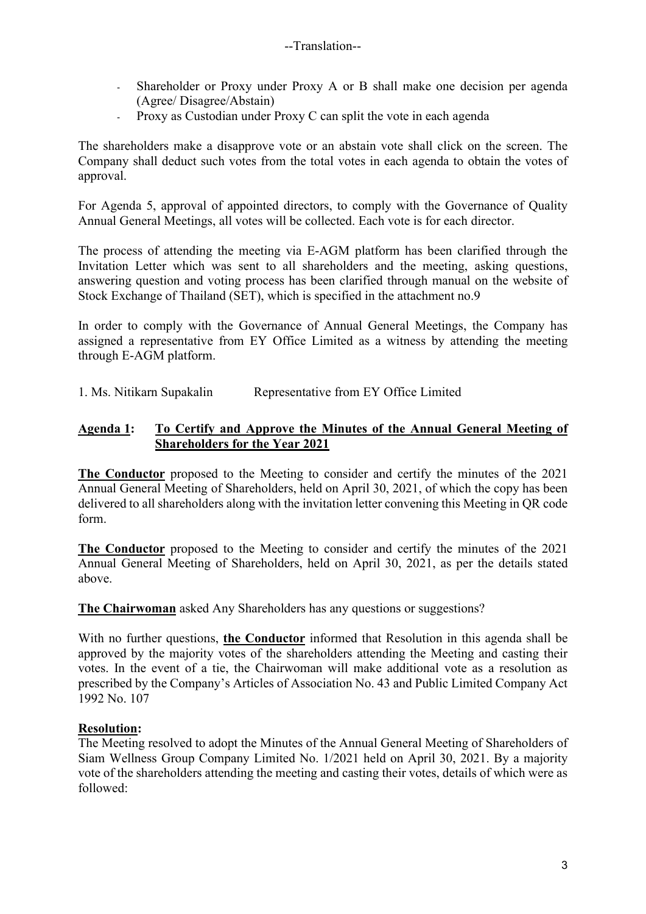- Shareholder or Proxy under Proxy A or B shall make one decision per agenda (Agree/ Disagree/Abstain)
- Proxy as Custodian under Proxy C can split the vote in each agenda

The shareholders make a disapprove vote or an abstain vote shall click on the screen. The Company shall deduct such votes from the total votes in each agenda to obtain the votes of approval.

For Agenda 5, approval of appointed directors, to comply with the Governance of Quality Annual General Meetings, all votes will be collected. Each vote is for each director.

The process of attending the meeting via E-AGM platform has been clarified through the Invitation Letter which was sent to all shareholders and the meeting, asking questions, answering question and voting process has been clarified through manual on the website of Stock Exchange of Thailand (SET), which is specified in the attachment no.9

In order to comply with the Governance of Annual General Meetings, the Company has assigned a representative from EY Office Limited as a witness by attending the meeting through E-AGM platform.

1. Ms. Nitikarn Supakalin Representative from EY Office Limited

## **Agenda 1: To Certify and Approve the Minutes of the Annual General Meeting of Shareholders for the Year 2021**

**The Conductor** proposed to the Meeting to consider and certify the minutes of the 2021 Annual General Meeting of Shareholders, held on April 30, 2021, of which the copy has been delivered to all shareholders along with the invitation letter convening this Meeting in QR code form.

**The Conductor** proposed to the Meeting to consider and certify the minutes of the 2021 Annual General Meeting of Shareholders, held on April 30, 2021, as per the details stated above.

**The Chairwoman** asked Any Shareholders has any questions or suggestions?

With no further questions, **the Conductor** informed that Resolution in this agenda shall be approved by the majority votes of the shareholders attending the Meeting and casting their votes. In the event of a tie, the Chairwoman will make additional vote as a resolution as prescribed by the Company's Articles of Association No. 43 and Public Limited Company Act 1992 No. 107

## **Resolution:**

The Meeting resolved to adopt the Minutes of the Annual General Meeting of Shareholders of Siam Wellness Group Company Limited No. 1/2021 held on April 30, 2021. By a majority vote of the shareholders attending the meeting and casting their votes, details of which were as followed: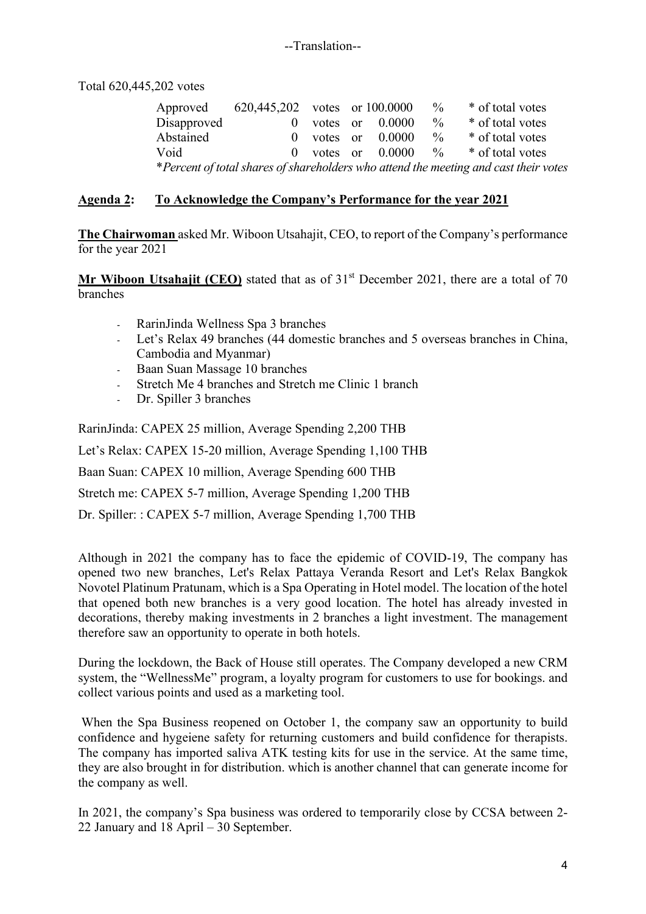Total 620,445,202 votes

Approved 620,445,202 votes or 100.0000 % \* of total votes Disapproved 0 votes or 0.0000 % \* of total votes<br>Abstained 0 votes or 0.0000 % \* of total votes 0 votes or  $0.0000 \frac{\%}{\%}$  \* of total votes Void 0 votes or 0.0000 % \* of total votes \**Percent of total shares of shareholders who attend the meeting and cast their votes*

## **Agenda 2: To Acknowledge the Company's Performance for the year 2021**

**The Chairwoman** asked Mr. Wiboon Utsahajit, CEO, to report of the Company's performance for the year 2021

**Mr Wiboon Utsahajit (CEO)** stated that as of 31<sup>st</sup> December 2021, there are a total of 70 branches

- RarinJinda Wellness Spa 3 branches
- Let's Relax 49 branches (44 domestic branches and 5 overseas branches in China, Cambodia and Myanmar)
- Baan Suan Massage 10 branches
- Stretch Me 4 branches and Stretch me Clinic 1 branch
- Dr. Spiller 3 branches

RarinJinda: CAPEX 25 million, Average Spending 2,200 THB Let's Relax: CAPEX 15-20 million, Average Spending 1,100 THB Baan Suan: CAPEX 10 million, Average Spending 600 THB Stretch me: CAPEX 5-7 million, Average Spending 1,200 THB Dr. Spiller: : CAPEX 5-7 million, Average Spending 1,700 THB

Although in 2021 the company has to face the epidemic of COVID-19, The company has opened two new branches, Let's Relax Pattaya Veranda Resort and Let's Relax Bangkok Novotel Platinum Pratunam, which is a Spa Operating in Hotel model. The location of the hotel that opened both new branches is a very good location. The hotel has already invested in decorations, thereby making investments in 2 branches a light investment. The management therefore saw an opportunity to operate in both hotels.

During the lockdown, the Back of House still operates. The Company developed a new CRM system, the "WellnessMe" program, a loyalty program for customers to use for bookings. and collect various points and used as a marketing tool.

When the Spa Business reopened on October 1, the company saw an opportunity to build confidence and hygeiene safety for returning customers and build confidence for therapists. The company has imported saliva ATK testing kits for use in the service. At the same time, they are also brought in for distribution. which is another channel that can generate income for the company as well.

In 2021, the company's Spa business was ordered to temporarily close by CCSA between 2- 22 January and 18 April – 30 September.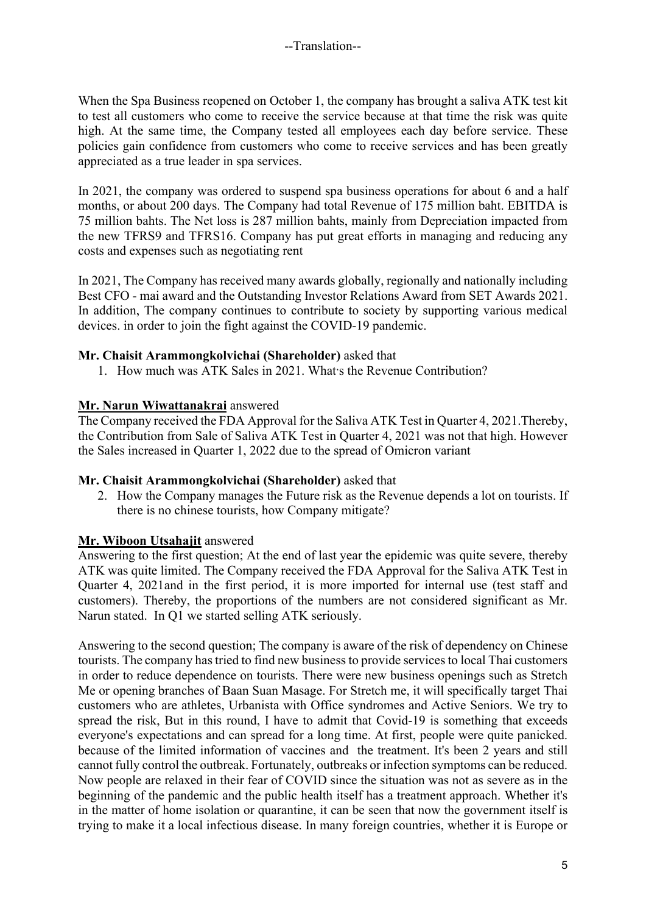When the Spa Business reopened on October 1, the company has brought a saliva ATK test kit to test all customers who come to receive the service because at that time the risk was quite high. At the same time, the Company tested all employees each day before service. These policies gain confidence from customers who come to receive services and has been greatly appreciated as a true leader in spa services.

In 2021, the company was ordered to suspend spa business operations for about 6 and a half months, or about 200 days. The Company had total Revenue of 175 million baht. EBITDA is 75 million bahts. The Net loss is 287 million bahts, mainly from Depreciation impacted from the new TFRS9 and TFRS16. Company has put great efforts in managing and reducing any costs and expenses such as negotiating rent

In 2021, The Company has received many awards globally, regionally and nationally including Best CFO - mai award and the Outstanding Investor Relations Award from SET Awards 2021. In addition, The company continues to contribute to society by supporting various medical devices. in order to join the fight against the COVID-19 pandemic.

## **Mr. Chaisit Arammongkolvichai (Shareholder)** asked that

1. How much was ATK Sales in 2021. What's the Revenue Contribution?

## **Mr. Narun Wiwattanakrai** answered

The Company received the FDA Approval for the Saliva ATK Test in Quarter 4, 2021.Thereby, the Contribution from Sale of Saliva ATK Test in Quarter 4, 2021 was not that high. However the Sales increased in Quarter 1, 2022 due to the spread of Omicron variant

## **Mr. Chaisit Arammongkolvichai (Shareholder)** asked that

2. How the Company manages the Future risk as the Revenue depends a lot on tourists. If there is no chinese tourists, how Company mitigate?

## **Mr. Wiboon Utsahajit** answered

Answering to the first question; At the end of last year the epidemic was quite severe, thereby ATK was quite limited. The Company received the FDA Approval for the Saliva ATK Test in Quarter 4, 2021and in the first period, it is more imported for internal use (test staff and customers). Thereby, the proportions of the numbers are not considered significant as Mr. Narun stated. In Q1 we started selling ATK seriously.

Answering to the second question; The company is aware of the risk of dependency on Chinese tourists. The company has tried to find new businessto provide services to local Thai customers in order to reduce dependence on tourists. There were new business openings such as Stretch Me or opening branches of Baan Suan Masage. For Stretch me, it will specifically target Thai customers who are athletes, Urbanista with Office syndromes and Active Seniors. We try to spread the risk, But in this round, I have to admit that Covid-19 is something that exceeds everyone's expectations and can spread for a long time. At first, people were quite panicked. because of the limited information of vaccines and the treatment. It's been 2 years and still cannot fully control the outbreak. Fortunately, outbreaks or infection symptoms can be reduced. Now people are relaxed in their fear of COVID since the situation was not as severe as in the beginning of the pandemic and the public health itself has a treatment approach. Whether it's in the matter of home isolation or quarantine, it can be seen that now the government itself is trying to make it a local infectious disease. In many foreign countries, whether it is Europe or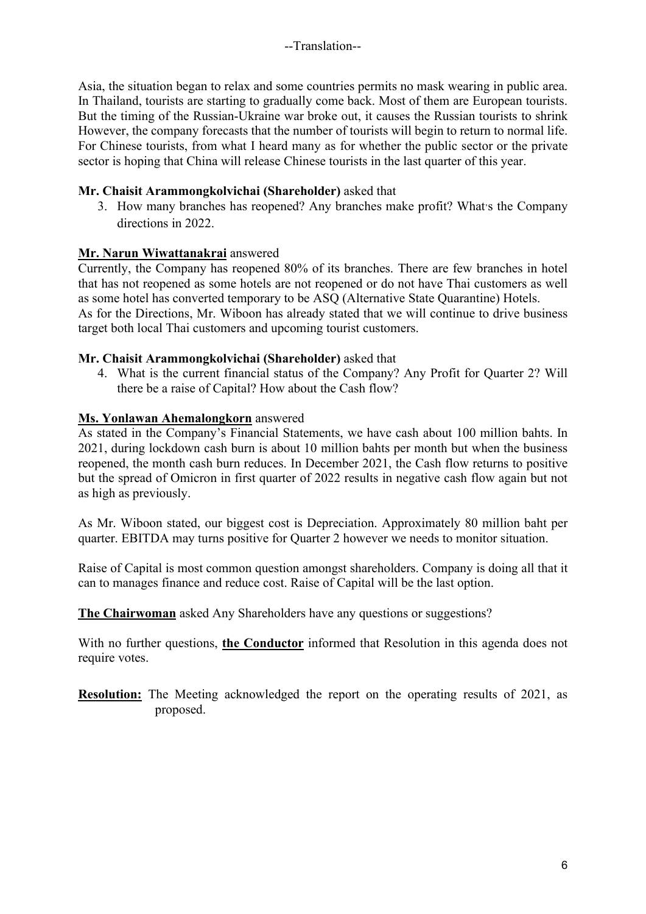Asia, the situation began to relax and some countries permits no mask wearing in public area. In Thailand, tourists are starting to gradually come back. Most of them are European tourists. But the timing of the Russian-Ukraine war broke out, it causes the Russian tourists to shrink However, the company forecasts that the number of tourists will begin to return to normal life. For Chinese tourists, from what I heard many as for whether the public sector or the private sector is hoping that China will release Chinese tourists in the last quarter of this year.

## **Mr. Chaisit Arammongkolvichai (Shareholder)** asked that

3. How many branches has reopened? Any branches make profit? What's the Company directions in 2022.

## **Mr. Narun Wiwattanakrai** answered

Currently, the Company has reopened 80% of its branches. There are few branches in hotel that has not reopened as some hotels are not reopened or do not have Thai customers as well as some hotel has converted temporary to be ASQ (Alternative State Quarantine) Hotels. As for the Directions, Mr. Wiboon has already stated that we will continue to drive business target both local Thai customers and upcoming tourist customers.

## **Mr. Chaisit Arammongkolvichai (Shareholder)** asked that

4. What is the current financial status of the Company? Any Profit for Quarter 2? Will there be a raise of Capital? How about the Cash flow?

# **Ms. Yonlawan Ahemalongkorn** answered

As stated in the Company's Financial Statements, we have cash about 100 million bahts. In 2021, during lockdown cash burn is about 10 million bahts per month but when the business reopened, the month cash burn reduces. In December 2021, the Cash flow returns to positive but the spread of Omicron in first quarter of 2022 results in negative cash flow again but not as high as previously.

As Mr. Wiboon stated, our biggest cost is Depreciation. Approximately 80 million baht per quarter. EBITDA may turns positive for Quarter 2 however we needs to monitor situation.

Raise of Capital is most common question amongst shareholders. Company is doing all that it can to manages finance and reduce cost. Raise of Capital will be the last option.

**The Chairwoman** asked Any Shareholders have any questions or suggestions?

With no further questions, **the Conductor** informed that Resolution in this agenda does not require votes.

**Resolution:** The Meeting acknowledged the report on the operating results of 2021, as proposed.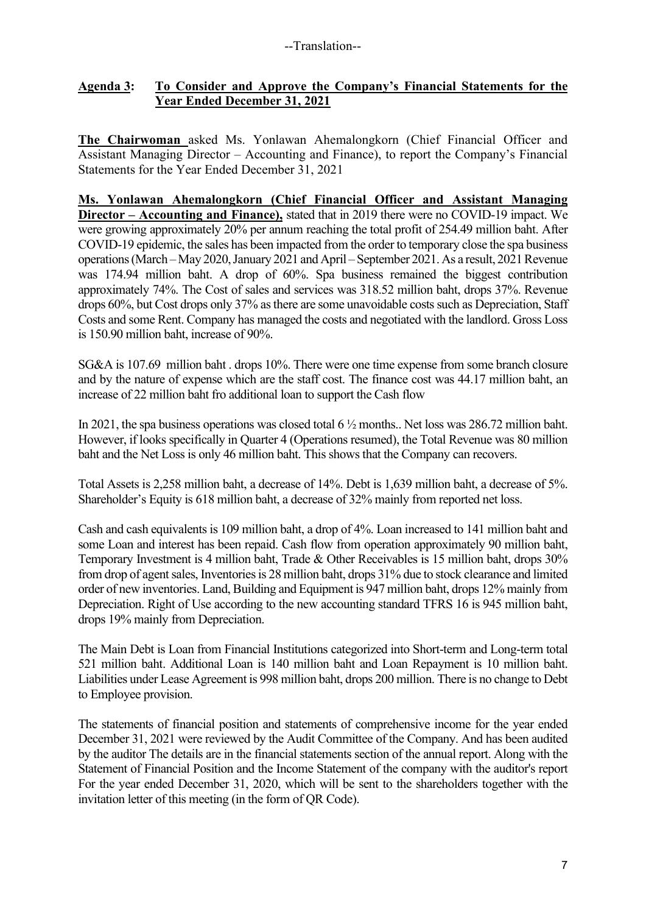## **Agenda 3: To Consider and Approve the Company's Financial Statements for the Year Ended December 31, 2021**

**The Chairwoman** asked Ms. Yonlawan Ahemalongkorn (Chief Financial Officer and Assistant Managing Director – Accounting and Finance), to report the Company's Financial Statements for the Year Ended December 31, 2021

**Ms. Yonlawan Ahemalongkorn (Chief Financial Officer and Assistant Managing Director – Accounting and Finance),** stated that in 2019 there were no COVID-19 impact. We were growing approximately 20% per annum reaching the total profit of 254.49 million baht. After COVID-19 epidemic, the sales has been impacted from the order to temporary close the spa business operations (March – May 2020, January 2021 and April – September 2021. As a result, 2021 Revenue was 174.94 million baht. A drop of 60%. Spa business remained the biggest contribution approximately 74%. The Cost of sales and services was 318.52 million baht, drops 37%. Revenue drops 60%, but Cost drops only 37% as there are some unavoidable costs such as Depreciation, Staff Costs and some Rent. Company has managed the costs and negotiated with the landlord. Gross Loss is 150.90 million baht, increase of 90%.

SG&A is 107.69 million baht . drops 10%. There were one time expense from some branch closure and by the nature of expense which are the staff cost. The finance cost was 44.17 million baht, an increase of 22 million baht fro additional loan to support the Cash flow

In 2021, the spa business operations was closed total 6 ½ months.. Net loss was 286.72 million baht. However, if looks specifically in Quarter 4 (Operations resumed), the Total Revenue was 80 million baht and the Net Loss is only 46 million baht. This shows that the Company can recovers.

Total Assets is 2,258 million baht, a decrease of 14%. Debt is 1,639 million baht, a decrease of 5%. Shareholder's Equity is 618 million baht, a decrease of 32% mainly from reported net loss.

Cash and cash equivalents is 109 million baht, a drop of 4%. Loan increased to 141 million baht and some Loan and interest has been repaid. Cash flow from operation approximately 90 million baht, Temporary Investment is 4 million baht, Trade & Other Receivables is 15 million baht, drops 30% from drop of agent sales, Inventories is 28 million baht, drops 31% due to stock clearance and limited order of new inventories. Land, Building and Equipment is 947 million baht, drops 12% mainly from Depreciation. Right of Use according to the new accounting standard TFRS 16 is 945 million baht, drops 19% mainly from Depreciation.

The Main Debt is Loan from Financial Institutions categorized into Short-term and Long-term total 521 million baht. Additional Loan is 140 million baht and Loan Repayment is 10 million baht. Liabilities under Lease Agreement is 998 million baht, drops 200 million. There is no change to Debt to Employee provision.

The statements of financial position and statements of comprehensive income for the year ended December 31, 2021 were reviewed by the Audit Committee of the Company. And has been audited by the auditor The details are in the financial statements section of the annual report. Along with the Statement of Financial Position and the Income Statement of the company with the auditor's report For the year ended December 31, 2020, which will be sent to the shareholders together with the invitation letter of this meeting (in the form of QR Code).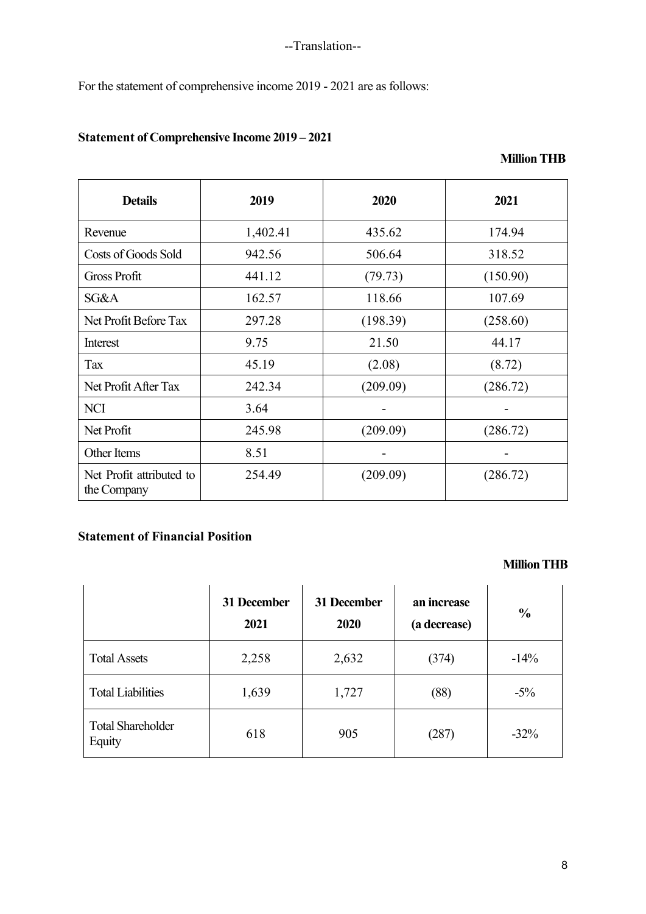For the statement of comprehensive income 2019 - 2021 are as follows:

# **Statement of Comprehensive Income 2019 – 2021**

| <b>Details</b>                          | 2019     | 2020     | 2021     |
|-----------------------------------------|----------|----------|----------|
| Revenue                                 | 1,402.41 | 435.62   | 174.94   |
| Costs of Goods Sold                     | 942.56   | 506.64   | 318.52   |
| <b>Gross Profit</b>                     | 441.12   | (79.73)  | (150.90) |
| SG&A                                    | 162.57   | 118.66   | 107.69   |
| Net Profit Before Tax                   | 297.28   | (198.39) | (258.60) |
| Interest                                | 9.75     | 21.50    | 44.17    |
| Tax                                     | 45.19    | (2.08)   | (8.72)   |
| Net Profit After Tax                    | 242.34   | (209.09) | (286.72) |
| <b>NCI</b>                              | 3.64     |          |          |
| Net Profit                              | 245.98   | (209.09) | (286.72) |
| Other Items                             | 8.51     |          |          |
| Net Profit attributed to<br>the Company | 254.49   | (209.09) | (286.72) |

# **Statement of Financial Position**

# **Million THB**

|                                    | 31 December<br>2021 | 31 December<br>2020 | an increase<br>(a decrease) | $\frac{0}{0}$ |
|------------------------------------|---------------------|---------------------|-----------------------------|---------------|
| <b>Total Assets</b>                | 2,258               | 2,632               | (374)                       | $-14%$        |
| <b>Total Liabilities</b>           | 1,639               | 1,727               | (88)                        | $-5\%$        |
| <b>Total Shareholder</b><br>Equity | 618                 | 905                 | (287)                       | $-32\%$       |

 **Million THB**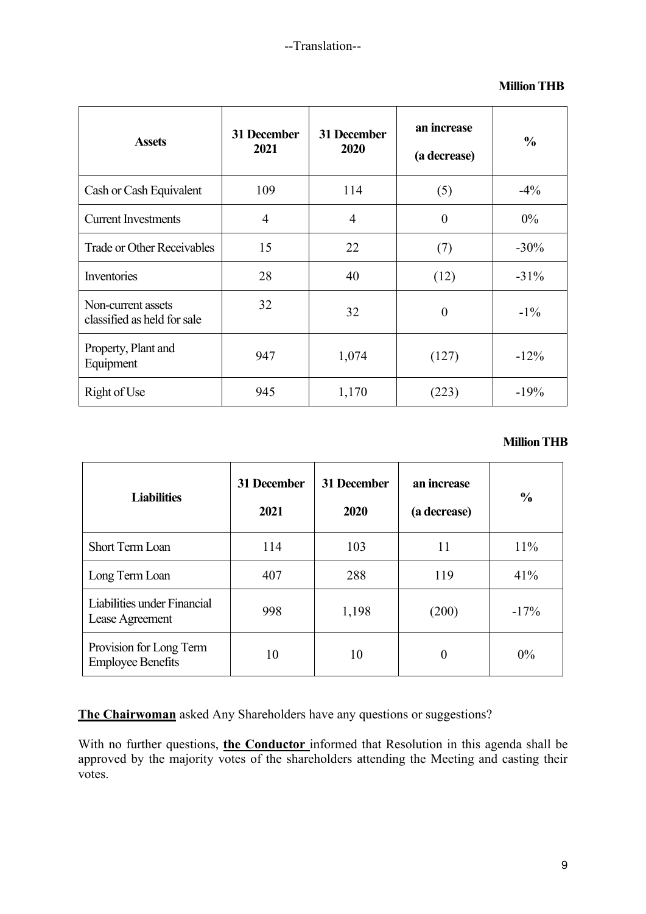### **Million THB**

| <b>Assets</b>                                     | 31 December<br>2021 | 31 December<br>2020 | an increase<br>(a decrease) | $\frac{0}{0}$ |
|---------------------------------------------------|---------------------|---------------------|-----------------------------|---------------|
| Cash or Cash Equivalent                           | 109                 | 114                 | (5)                         | $-4\%$        |
| <b>Current Investments</b>                        | $\overline{4}$      | $\overline{4}$      | $\overline{0}$              | $0\%$         |
| <b>Trade or Other Receivables</b>                 | 15                  | 22                  | (7)                         | $-30\%$       |
| Inventories                                       | 28                  | 40                  | (12)                        | $-31\%$       |
| Non-current assets<br>classified as held for sale | 32                  | 32                  | $\theta$                    | $-1\%$        |
| Property, Plant and<br>Equipment                  | 947                 | 1,074               | (127)                       | $-12%$        |
| Right of Use                                      | 945                 | 1,170               | (223)                       | $-19%$        |

### **Million THB**

| <b>Liabilities</b>                                  | 31 December<br>2021 | 31 December<br>2020 | an increase<br>(a decrease) | $\frac{0}{0}$ |
|-----------------------------------------------------|---------------------|---------------------|-----------------------------|---------------|
| Short Term Loan                                     | 114                 | 103                 | 11                          | 11%           |
| Long Term Loan                                      | 407                 | 288                 | 119                         | 41%           |
| Liabilities under Financial<br>Lease Agreement      | 998                 | 1,198               | (200)                       | $-17%$        |
| Provision for Long Term<br><b>Employee Benefits</b> | 10                  | 10                  | $\overline{0}$              | $0\%$         |

**The Chairwoman** asked Any Shareholders have any questions or suggestions?

With no further questions, **the Conductor** informed that Resolution in this agenda shall be approved by the majority votes of the shareholders attending the Meeting and casting their votes.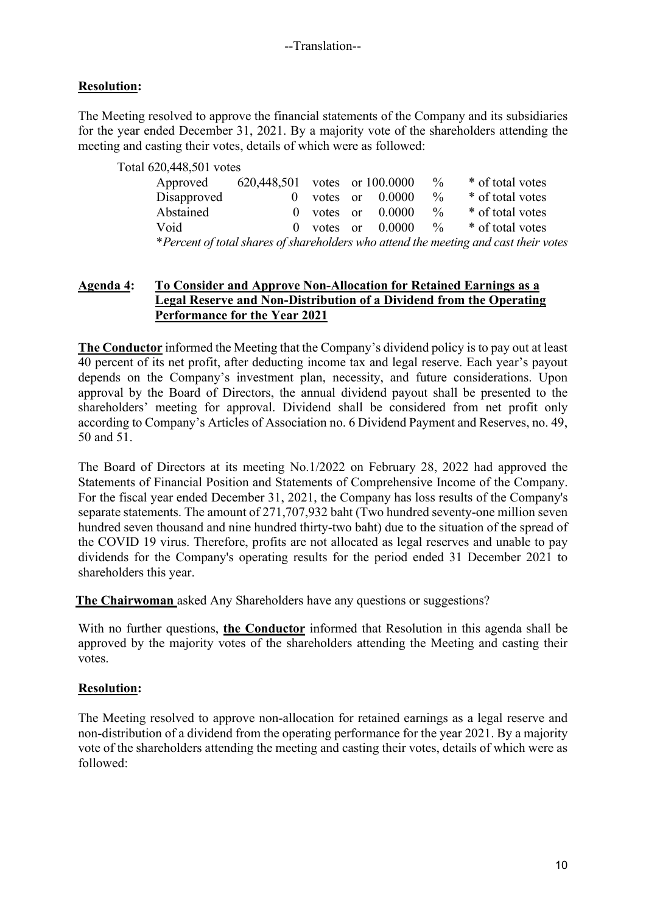# **Resolution:**

The Meeting resolved to approve the financial statements of the Company and its subsidiaries for the year ended December 31, 2021. By a majority vote of the shareholders attending the meeting and casting their votes, details of which were as followed:

| Total 620,448,501 votes |                               |  |                       |               |                                                                                      |
|-------------------------|-------------------------------|--|-----------------------|---------------|--------------------------------------------------------------------------------------|
| Approved                | 620,448,501 votes or 100.0000 |  |                       | $\frac{0}{0}$ | * of total votes                                                                     |
| Disapproved             | $\Omega$                      |  | votes or $0.0000$     | $\frac{0}{0}$ | * of total votes                                                                     |
| Abstained               |                               |  | $0$ votes or $0.0000$ | $\%$          | * of total votes                                                                     |
| Void                    | $\Omega$                      |  | votes or $0.0000$     | $\%$          | * of total votes                                                                     |
|                         |                               |  |                       |               | *Percent of total shares of shareholders who attend the meeting and cast their votes |

## **Agenda 4: To Consider and Approve Non-Allocation for Retained Earnings as a Legal Reserve and Non-Distribution of a Dividend from the Operating Performance for the Year 2021**

**The Conductor** informed the Meeting that the Company's dividend policy is to pay out at least 40 percent of its net profit, after deducting income tax and legal reserve. Each year's payout depends on the Company's investment plan, necessity, and future considerations. Upon approval by the Board of Directors, the annual dividend payout shall be presented to the shareholders' meeting for approval. Dividend shall be considered from net profit only according to Company's Articles of Association no. 6 Dividend Payment and Reserves, no. 49, 50 and 51.

The Board of Directors at its meeting No.1/2022 on February 28, 2022 had approved the Statements of Financial Position and Statements of Comprehensive Income of the Company. For the fiscal year ended December 31, 2021, the Company has loss results of the Company's separate statements. The amount of 271,707,932 baht (Two hundred seventy-one million seven hundred seven thousand and nine hundred thirty-two baht) due to the situation of the spread of the COVID 19 virus. Therefore, profits are not allocated as legal reserves and unable to pay dividends for the Company's operating results for the period ended 31 December 2021 to shareholders this year.

**The Chairwoman** asked Any Shareholders have any questions or suggestions?

With no further questions, **the Conductor** informed that Resolution in this agenda shall be approved by the majority votes of the shareholders attending the Meeting and casting their votes.

## **Resolution:**

The Meeting resolved to approve non-allocation for retained earnings as a legal reserve and non-distribution of a dividend from the operating performance for the year 2021. By a majority vote of the shareholders attending the meeting and casting their votes, details of which were as followed: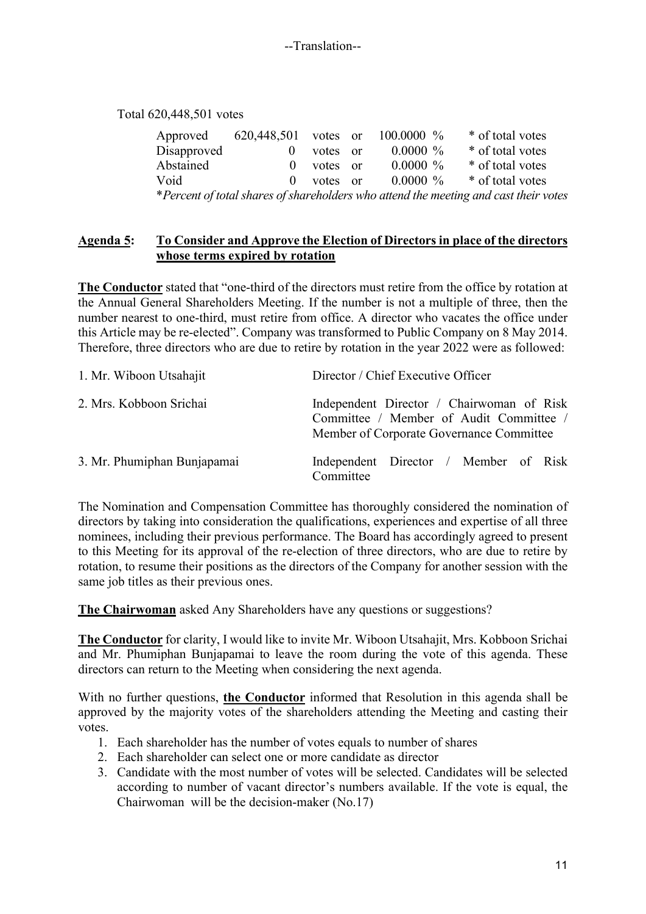Total 620,448,501 votes

| Approved    | 620,448,501 votes or |          | $100.0000\%$ | * of total votes                                                                     |
|-------------|----------------------|----------|--------------|--------------------------------------------------------------------------------------|
| Disapproved |                      | votes or | $0.0000\%$   | * of total votes                                                                     |
| Abstained   | $\Omega$             | votes or | $0.0000\%$   | * of total votes                                                                     |
| Void        | $\Omega$             | votes or | $0.0000\%$   | * of total votes                                                                     |
|             |                      |          |              | *Percent of total shares of shareholders who attend the meeting and cast their votes |

## **Agenda 5: To Consider and Approve the Election of Directors in place of the directors whose terms expired by rotation**

**The Conductor** stated that "one-third of the directors must retire from the office by rotation at the Annual General Shareholders Meeting. If the number is not a multiple of three, then the number nearest to one-third, must retire from office. A director who vacates the office under this Article may be re-elected". Company was transformed to Public Company on 8 May 2014. Therefore, three directors who are due to retire by rotation in the year 2022 were as followed:

| 1. Mr. Wiboon Utsahajit     | Director / Chief Executive Officer                                                                                               |
|-----------------------------|----------------------------------------------------------------------------------------------------------------------------------|
| 2. Mrs. Kobboon Srichai     | Independent Director / Chairwoman of Risk<br>Committee / Member of Audit Committee /<br>Member of Corporate Governance Committee |
| 3. Mr. Phumiphan Bunjapamai | Independent Director / Member of Risk<br>Committee                                                                               |

The Nomination and Compensation Committee has thoroughly considered the nomination of directors by taking into consideration the qualifications, experiences and expertise of all three nominees, including their previous performance. The Board has accordingly agreed to present to this Meeting for its approval of the re-election of three directors, who are due to retire by rotation, to resume their positions as the directors of the Company for another session with the same job titles as their previous ones.

**The Chairwoman** asked Any Shareholders have any questions or suggestions?

**The Conductor** for clarity, I would like to invite Mr. Wiboon Utsahajit, Mrs. Kobboon Srichai and Mr. Phumiphan Bunjapamai to leave the room during the vote of this agenda. These directors can return to the Meeting when considering the next agenda.

With no further questions, **the Conductor** informed that Resolution in this agenda shall be approved by the majority votes of the shareholders attending the Meeting and casting their votes.

- 1. Each shareholder has the number of votes equals to number of shares
- 2. Each shareholder can select one or more candidate as director
- 3. Candidate with the most number of votes will be selected. Candidates will be selected according to number of vacant director's numbers available. If the vote is equal, the Chairwoman will be the decision-maker (No.17)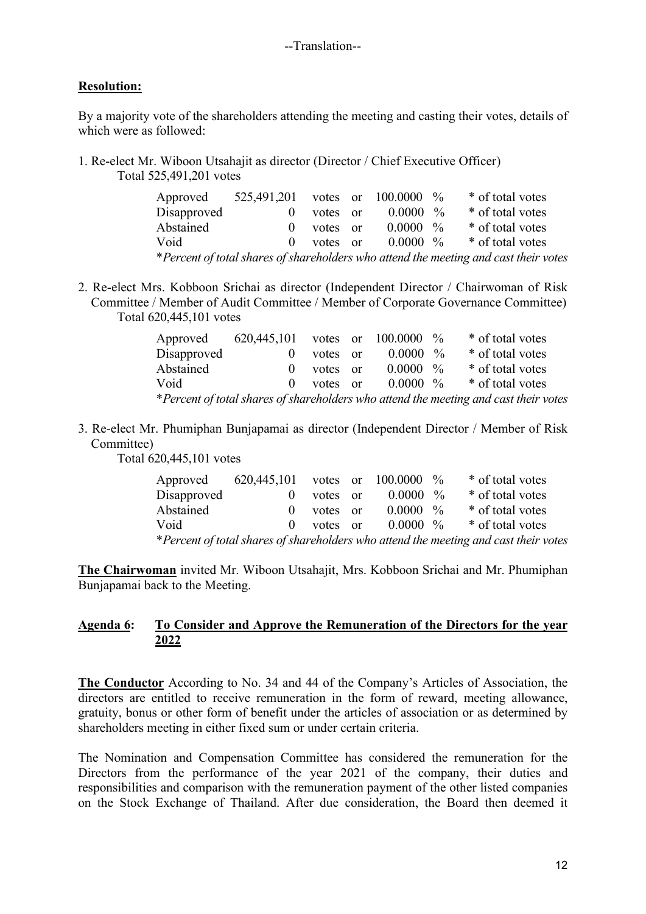## **Resolution:**

By a majority vote of the shareholders attending the meeting and casting their votes, details of which were as followed:

1. Re-elect Mr. Wiboon Utsahajit as director (Director / Chief Executive Officer) Total 525,491,201 votes

| Approved                                                                             | 525,491,201 votes or 100.0000 % |          |  |             |  | * of total votes |
|--------------------------------------------------------------------------------------|---------------------------------|----------|--|-------------|--|------------------|
| Disapproved                                                                          |                                 | votes or |  | $0.0000~\%$ |  | * of total votes |
| Abstained                                                                            | $\Omega$                        | votes or |  | $0.0000~\%$ |  | * of total votes |
| Void                                                                                 | $\Omega$                        | votes or |  | $0.0000~\%$ |  | * of total votes |
| *Percent of total shares of shareholders who attend the meeting and cast their votes |                                 |          |  |             |  |                  |

2. Re-elect Mrs. Kobboon Srichai as director (Independent Director / Chairwoman of Risk Committee / Member of Audit Committee / Member of Corporate Governance Committee) Total 620,445,101 votes

| Approved                                                                             | 620,445,101 votes or 100.0000 $\%$ |              |  |             |  | * of total votes |
|--------------------------------------------------------------------------------------|------------------------------------|--------------|--|-------------|--|------------------|
| Disapproved                                                                          |                                    | votes or     |  | $0.0000~\%$ |  | * of total votes |
| Abstained                                                                            | $\mathbf{0}$                       | votes or     |  | $0.0000~\%$ |  | * of total votes |
| Void                                                                                 |                                    | $0$ votes or |  | $0.0000\%$  |  | * of total votes |
| *Percent of total shares of shareholders who attend the meeting and cast their votes |                                    |              |  |             |  |                  |

3. Re-elect Mr. Phumiphan Bunjapamai as director (Independent Director / Member of Risk Committee)

Total 620,445,101 votes

| Approved                                                                             | 620,445,101 votes or $100.0000\%$ |              |  |                      |  | * of total votes |
|--------------------------------------------------------------------------------------|-----------------------------------|--------------|--|----------------------|--|------------------|
| Disapproved                                                                          |                                   | votes or     |  | $0.0000~\%$          |  | * of total votes |
| Abstained                                                                            |                                   | $0$ votes or |  | $0.0000 \frac{9}{6}$ |  | * of total votes |
| Void                                                                                 |                                   | $0$ votes or |  | $0.0000~\%$          |  | * of total votes |
| *Percent of total shares of shareholders who attend the meeting and cast their votes |                                   |              |  |                      |  |                  |

**The Chairwoman** invited Mr. Wiboon Utsahajit, Mrs. Kobboon Srichai and Mr. Phumiphan Bunjapamai back to the Meeting.

## **Agenda 6: To Consider and Approve the Remuneration of the Directors for the year 2022**

**The Conductor** According to No. 34 and 44 of the Company's Articles of Association, the directors are entitled to receive remuneration in the form of reward, meeting allowance, gratuity, bonus or other form of benefit under the articles of association or as determined by shareholders meeting in either fixed sum or under certain criteria.

The Nomination and Compensation Committee has considered the remuneration for the Directors from the performance of the year 2021 of the company, their duties and responsibilities and comparison with the remuneration payment of the other listed companies on the Stock Exchange of Thailand. After due consideration, the Board then deemed it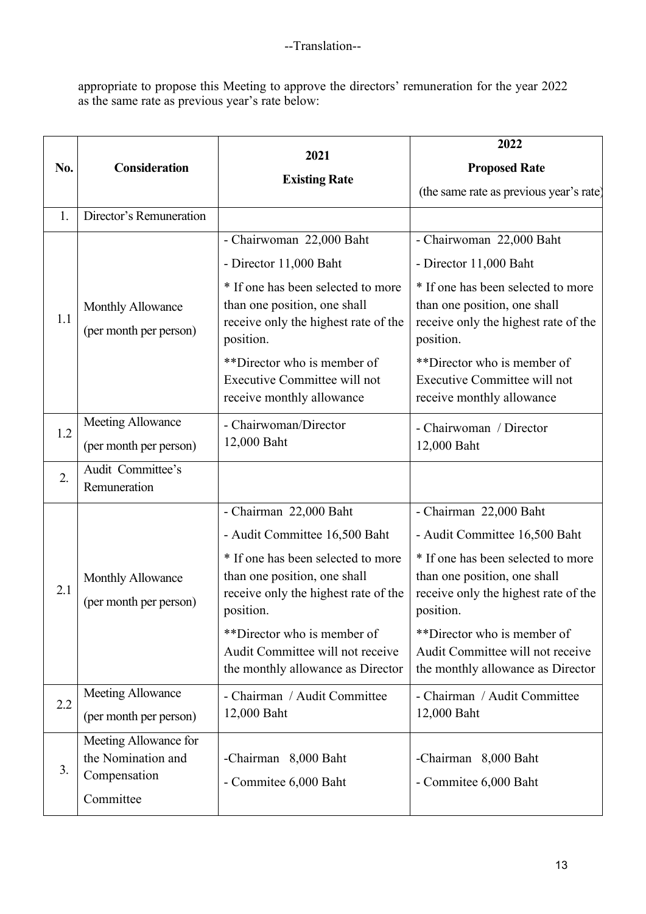appropriate to propose this Meeting to approve the directors' remuneration for the year 2022 as the same rate as previous year's rate below:

|     |                                                                          |                                                                                                                         | 2022                                                                                                                    |  |  |
|-----|--------------------------------------------------------------------------|-------------------------------------------------------------------------------------------------------------------------|-------------------------------------------------------------------------------------------------------------------------|--|--|
| No. | <b>Consideration</b>                                                     | 2021                                                                                                                    | <b>Proposed Rate</b>                                                                                                    |  |  |
|     |                                                                          | <b>Existing Rate</b>                                                                                                    | (the same rate as previous year's rate)                                                                                 |  |  |
| 1.  | Director's Remuneration                                                  |                                                                                                                         |                                                                                                                         |  |  |
|     |                                                                          | - Chairwoman 22,000 Baht                                                                                                | - Chairwoman 22,000 Baht                                                                                                |  |  |
|     |                                                                          | - Director 11,000 Baht                                                                                                  | - Director 11,000 Baht                                                                                                  |  |  |
| 1.1 | Monthly Allowance<br>(per month per person)                              | * If one has been selected to more<br>than one position, one shall<br>receive only the highest rate of the<br>position. | * If one has been selected to more<br>than one position, one shall<br>receive only the highest rate of the<br>position. |  |  |
|     |                                                                          | **Director who is member of<br>Executive Committee will not<br>receive monthly allowance                                | **Director who is member of<br>Executive Committee will not<br>receive monthly allowance                                |  |  |
| 1.2 | Meeting Allowance                                                        | - Chairwoman/Director                                                                                                   | - Chairwoman / Director                                                                                                 |  |  |
|     | (per month per person)                                                   | 12,000 Baht                                                                                                             | 12,000 Baht                                                                                                             |  |  |
| 2.  | Audit Committee's<br>Remuneration                                        |                                                                                                                         |                                                                                                                         |  |  |
|     |                                                                          | - Chairman 22,000 Baht                                                                                                  | - Chairman 22,000 Baht                                                                                                  |  |  |
|     |                                                                          | - Audit Committee 16,500 Baht                                                                                           | - Audit Committee 16,500 Baht                                                                                           |  |  |
| 2.1 | Monthly Allowance<br>(per month per person)                              | * If one has been selected to more<br>than one position, one shall<br>receive only the highest rate of the<br>position. | * If one has been selected to more<br>than one position, one shall<br>receive only the highest rate of the<br>position. |  |  |
|     |                                                                          | **Director who is member of<br>Audit Committee will not receive<br>the monthly allowance as Director                    | **Director who is member of<br>Audit Committee will not receive<br>the monthly allowance as Director                    |  |  |
| 2.2 | Meeting Allowance                                                        | - Chairman / Audit Committee                                                                                            | - Chairman / Audit Committee                                                                                            |  |  |
|     | (per month per person)                                                   | 12,000 Baht                                                                                                             | 12,000 Baht                                                                                                             |  |  |
| 3.  | Meeting Allowance for<br>the Nomination and<br>Compensation<br>Committee | -Chairman 8,000 Baht<br>- Commitee 6,000 Baht                                                                           | -Chairman 8,000 Baht<br>- Commitee 6,000 Baht                                                                           |  |  |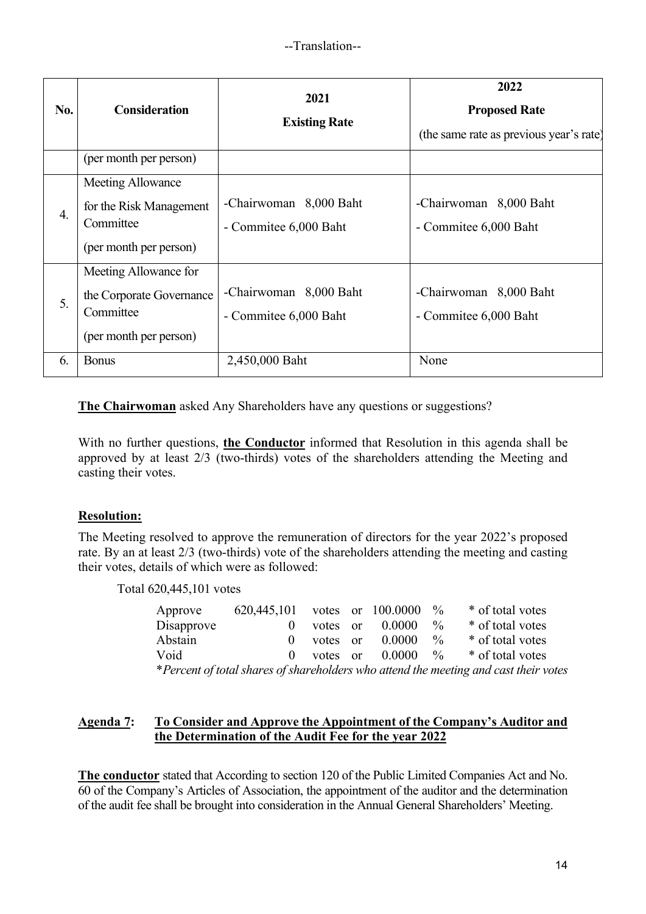| No. | <b>Consideration</b>                                                                     | 2021<br><b>Existing Rate</b>                    | 2022<br><b>Proposed Rate</b><br>(the same rate as previous year's rate) |
|-----|------------------------------------------------------------------------------------------|-------------------------------------------------|-------------------------------------------------------------------------|
|     | (per month per person)                                                                   |                                                 |                                                                         |
| 4.  | Meeting Allowance<br>for the Risk Management<br>Committee<br>(per month per person)      | -Chairwoman 8,000 Baht<br>- Commitee 6,000 Baht | -Chairwoman 8,000 Baht<br>- Commitee 6,000 Baht                         |
| 5.  | Meeting Allowance for<br>the Corporate Governance<br>Committee<br>(per month per person) | -Chairwoman 8,000 Baht<br>- Commitee 6,000 Baht | -Chairwoman 8,000 Baht<br>- Commitee 6,000 Baht                         |
| 6.  | <b>Bonus</b>                                                                             | 2,450,000 Baht                                  | None                                                                    |

**The Chairwoman** asked Any Shareholders have any questions or suggestions?

With no further questions, **the Conductor** informed that Resolution in this agenda shall be approved by at least 2/3 (two-thirds) votes of the shareholders attending the Meeting and casting their votes.

## **Resolution:**

The Meeting resolved to approve the remuneration of directors for the year 2022's proposed rate. By an at least 2/3 (two-thirds) vote of the shareholders attending the meeting and casting their votes, details of which were as followed:

Total 620,445,101 votes

| Approve                                                                              | 620,445,101 votes or $100.0000$ % |          |  |                   |               | * of total votes                         |
|--------------------------------------------------------------------------------------|-----------------------------------|----------|--|-------------------|---------------|------------------------------------------|
| Disapprove                                                                           |                                   | votes or |  | $0.0000 \t%$      |               | * of total votes                         |
| Abstain                                                                              | $\mathbf{0}$                      |          |  | votes or $0.0000$ | $\frac{0}{0}$ | * of total votes                         |
| Void                                                                                 |                                   |          |  |                   |               | 0 votes or $0.0000 \t%$ * of total votes |
| *Percent of total shares of shareholders who attend the meeting and cast their votes |                                   |          |  |                   |               |                                          |

### **Agenda 7: To Consider and Approve the Appointment of the Company's Auditor and the Determination of the Audit Fee for the year 2022**

**The conductor** stated that According to section 120 of the Public Limited Companies Act and No. 60 of the Company's Articles of Association, the appointment of the auditor and the determination of the audit fee shall be brought into consideration in the Annual General Shareholders' Meeting.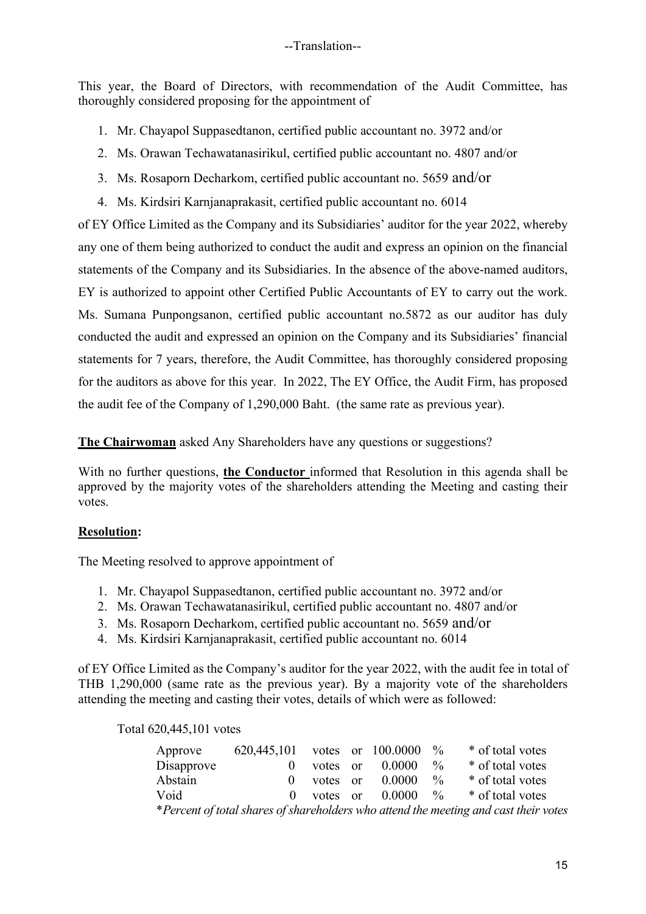This year, the Board of Directors, with recommendation of the Audit Committee, has thoroughly considered proposing for the appointment of

- 1. Mr. Chayapol Suppasedtanon, certified public accountant no. 3972 and/or
- 2. Ms. Orawan Techawatanasirikul, certified public accountant no. 4807 and/or
- 3. Ms. Rosaporn Decharkom, certified public accountant no. 5659 and/or
- 4. Ms. Kirdsiri Karnjanaprakasit, certified public accountant no. 6014

of EY Office Limited as the Company and its Subsidiaries' auditor for the year 2022, whereby any one of them being authorized to conduct the audit and express an opinion on the financial statements of the Company and its Subsidiaries. In the absence of the above-named auditors, EY is authorized to appoint other Certified Public Accountants of EY to carry out the work. Ms. Sumana Punpongsanon, certified public accountant no.5872 as our auditor has duly conducted the audit and expressed an opinion on the Company and its Subsidiaries' financial statements for 7 years, therefore, the Audit Committee, has thoroughly considered proposing for the auditors as above for this year. In 2022, The EY Office, the Audit Firm, has proposed the audit fee of the Company of 1,290,000 Baht. (the same rate as previous year).

**The Chairwoman** asked Any Shareholders have any questions or suggestions?

With no further questions, **the Conductor** informed that Resolution in this agenda shall be approved by the majority votes of the shareholders attending the Meeting and casting their votes.

## **Resolution:**

The Meeting resolved to approve appointment of

- 1. Mr. Chayapol Suppasedtanon, certified public accountant no. 3972 and/or
- 2. Ms. Orawan Techawatanasirikul, certified public accountant no. 4807 and/or
- 3. Ms. Rosaporn Decharkom, certified public accountant no. 5659 and/or
- 4. Ms. Kirdsiri Karnjanaprakasit, certified public accountant no. 6014

of EY Office Limited as the Company's auditor for the year 2022, with the audit fee in total of THB 1,290,000 (same rate as the previous year). By a majority vote of the shareholders attending the meeting and casting their votes, details of which were as followed:

Total 620,445,101 votes

| Approve                                                                              | 620,445,101 votes or 100.0000 |              |  |                   | $\frac{0}{0}$ | * of total votes                      |
|--------------------------------------------------------------------------------------|-------------------------------|--------------|--|-------------------|---------------|---------------------------------------|
| Disapprove                                                                           | $\mathbf{0}$                  |              |  | votes or $0.0000$ | $\frac{0}{0}$ | * of total votes                      |
| Abstain                                                                              |                               | $0$ votes or |  | 0.0000            | $\frac{0}{0}$ | * of total votes                      |
| Void                                                                                 | $\mathbf{0}$                  |              |  |                   |               | votes or $0.0000 \%$ * of total votes |
| *Percent of total shares of shareholders who attend the meeting and cast their votes |                               |              |  |                   |               |                                       |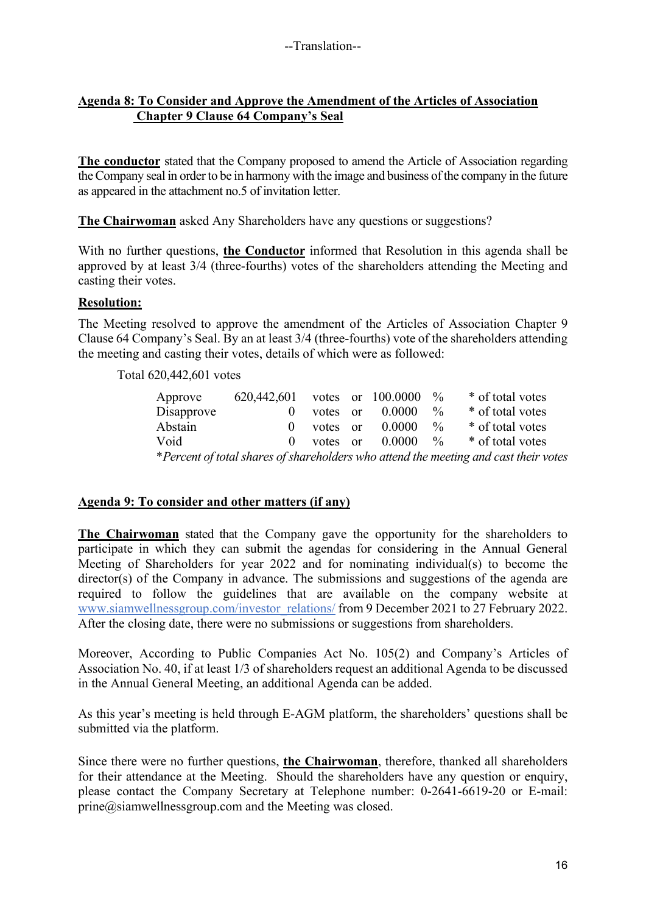## **Agenda 8: To Consider and Approve the Amendment of the Articles of Association Chapter 9 Clause 64 Company's Seal**

**The conductor** stated that the Company proposed to amend the Article of Association regarding the Company seal in order to be in harmony with the image and business of the company in the future as appeared in the attachment no.5 of invitation letter.

**The Chairwoman** asked Any Shareholders have any questions or suggestions?

With no further questions, **the Conductor** informed that Resolution in this agenda shall be approved by at least 3/4 (three-fourths) votes of the shareholders attending the Meeting and casting their votes.

## **Resolution:**

The Meeting resolved to approve the amendment of the Articles of Association Chapter 9 Clause 64 Company's Seal. By an at least 3/4 (three-fourths) vote of the shareholders attending the meeting and casting their votes, details of which were as followed:

Total 620,442,601 votes

| Approve    | 620,442,601 votes or $100.0000$ % |              |                                 |               | * of total votes                                                                     |
|------------|-----------------------------------|--------------|---------------------------------|---------------|--------------------------------------------------------------------------------------|
| Disapprove |                                   | votes or     | 0.0000                          | $\frac{0}{0}$ | * of total votes                                                                     |
| Abstain    |                                   | $0$ votes or | 0.0000                          | $\frac{0}{0}$ | * of total votes                                                                     |
| Void       |                                   |              | 0 votes or $0.0000 \frac{9}{6}$ |               | * of total votes                                                                     |
|            |                                   |              |                                 |               | *Percent of total shares of shareholders who attend the meeting and cast their votes |

## **Agenda 9: To consider and other matters (if any)**

**The Chairwoman** stated that the Company gave the opportunity for the shareholders to participate in which they can submit the agendas for considering in the Annual General Meeting of Shareholders for year 2022 and for nominating individual(s) to become the director(s) of the Company in advance. The submissions and suggestions of the agenda are required to follow the guidelines that are available on the company website at www.siamwellnessgroup.com/investor\_relations/ from 9 December 2021 to 27 February 2022. After the closing date, there were no submissions or suggestions from shareholders.

Moreover, According to Public Companies Act No. 105(2) and Company's Articles of Association No. 40, if at least 1/3 of shareholders request an additional Agenda to be discussed in the Annual General Meeting, an additional Agenda can be added.

As this year's meeting is held through E-AGM platform, the shareholders' questions shall be submitted via the platform.

Since there were no further questions, **the Chairwoman**, therefore, thanked all shareholders for their attendance at the Meeting. Should the shareholders have any question or enquiry, please contact the Company Secretary at Telephone number: 0-2641-6619-20 or E-mail: prine@siamwellnessgroup.com and the Meeting was closed.